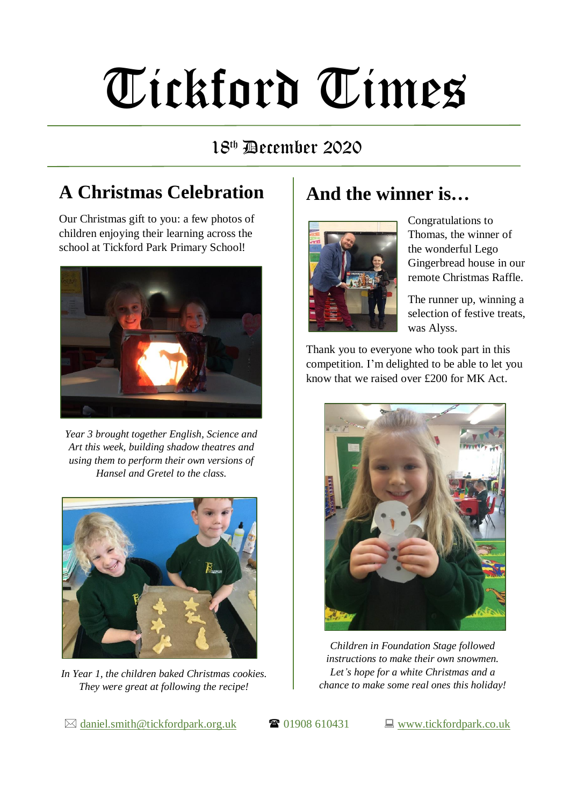# Tickford Times

#### 18 th December 2020

### **A Christmas Celebration**

Our Christmas gift to you: a few photos of children enjoying their learning across the school at Tickford Park Primary School!



*Year 3 brought together English, Science and Art this week, building shadow theatres and using them to perform their own versions of Hansel and Gretel to the class.*



*In Year 1, the children baked Christmas cookies. They were great at following the recipe!*

### **And the winner is…**



Congratulations to Thomas, the winner of the wonderful Lego Gingerbread house in our remote Christmas Raffle.

The runner up, winning a selection of festive treats, was Alyss.

Thank you to everyone who took part in this competition. I'm delighted to be able to let you know that we raised over £200 for MK Act.



*Children in Foundation Stage followed instructions to make their own snowmen. Let's hope for a white Christmas and a chance to make some real ones this holiday!*

 $\boxtimes$  [daniel.smith@tickfordpark.org.uk](mailto:daniel.smith@tickfordpark.org.uk)  $\bullet$  01908 610431  $\Box$  [www.tickfordpark.co.uk](http://www.tickfordpark.co.uk/)